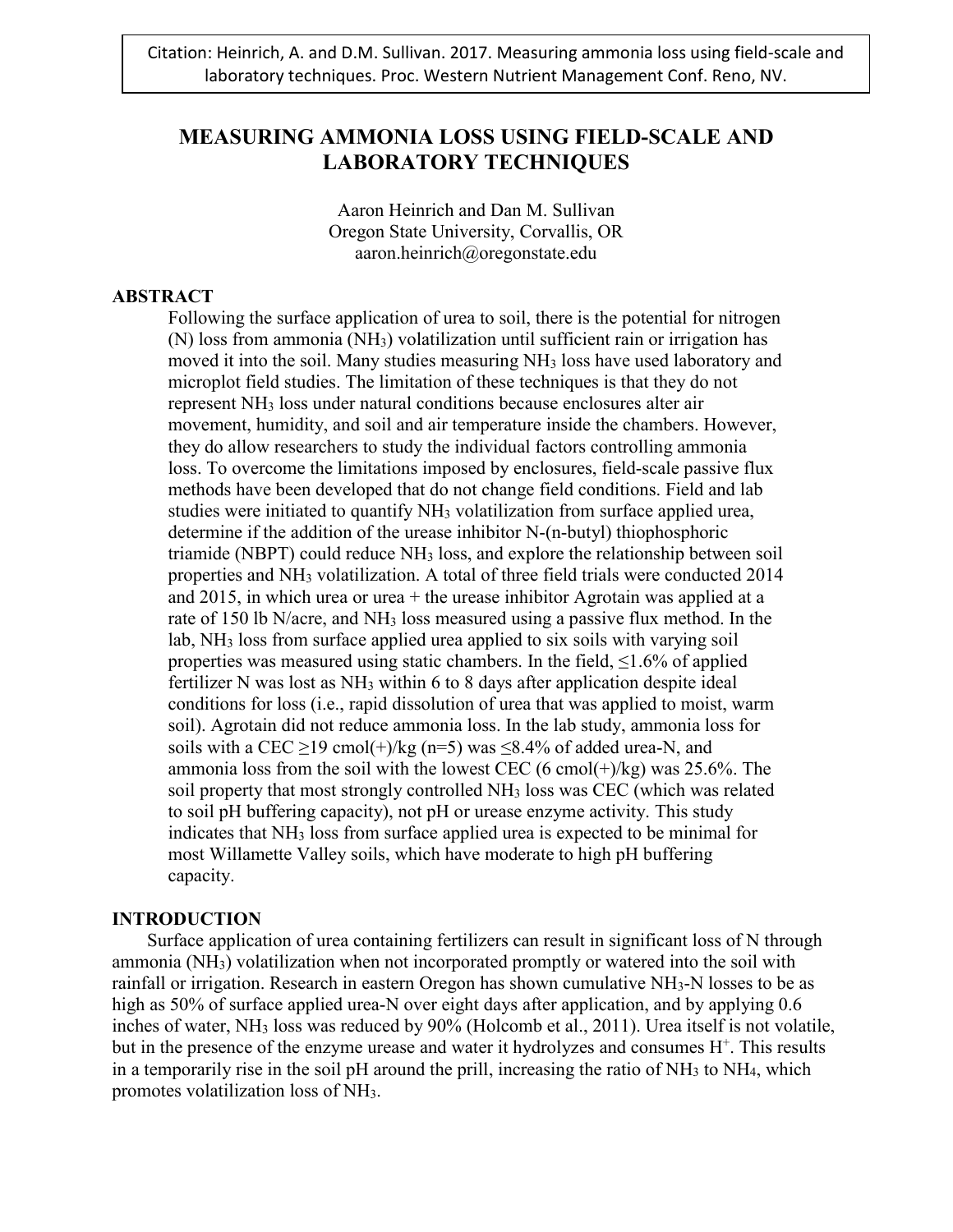# **MEASURING AMMONIA LOSS USING FIELD-SCALE AND LABORATORY TECHNIQUES**

Aaron Heinrich and Dan M. Sullivan Oregon State University, Corvallis, OR aaron.heinrich@oregonstate.edu

## **ABSTRACT**

Following the surface application of urea to soil, there is the potential for nitrogen (N) loss from ammonia (NH3) volatilization until sufficient rain or irrigation has moved it into the soil. Many studies measuring NH3 loss have used laboratory and microplot field studies. The limitation of these techniques is that they do not represent NH3 loss under natural conditions because enclosures alter air movement, humidity, and soil and air temperature inside the chambers. However, they do allow researchers to study the individual factors controlling ammonia loss. To overcome the limitations imposed by enclosures, field-scale passive flux methods have been developed that do not change field conditions. Field and lab studies were initiated to quantify NH3 volatilization from surface applied urea, determine if the addition of the urease inhibitor N-(n-butyl) thiophosphoric triamide (NBPT) could reduce NH3 loss, and explore the relationship between soil properties and NH3 volatilization. A total of three field trials were conducted 2014 and 2015, in which urea or urea  $+$  the urease inhibitor Agrotain was applied at a rate of 150 lb N/acre, and NH3 loss measured using a passive flux method. In the lab, NH3 loss from surface applied urea applied to six soils with varying soil properties was measured using static chambers. In the field,  $\leq 1.6\%$  of applied fertilizer N was lost as NH<sub>3</sub> within 6 to 8 days after application despite ideal conditions for loss (i.e., rapid dissolution of urea that was applied to moist, warm soil). Agrotain did not reduce ammonia loss. In the lab study, ammonia loss for soils with a CEC  $\geq$ 19 cmol(+)/kg (n=5) was  $\leq$ 8.4% of added urea-N, and ammonia loss from the soil with the lowest CEC (6 cmol( $+$ )/kg) was 25.6%. The soil property that most strongly controlled NH3 loss was CEC (which was related to soil pH buffering capacity), not pH or urease enzyme activity. This study indicates that NH3 loss from surface applied urea is expected to be minimal for most Willamette Valley soils, which have moderate to high pH buffering capacity.

## **INTRODUCTION**

Surface application of urea containing fertilizers can result in significant loss of N through ammonia (NH3) volatilization when not incorporated promptly or watered into the soil with rainfall or irrigation. Research in eastern Oregon has shown cumulative NH<sub>3</sub>-N losses to be as high as 50% of surface applied urea-N over eight days after application, and by applying 0.6 inches of water, NH3 loss was reduced by 90% (Holcomb et al., 2011). Urea itself is not volatile, but in the presence of the enzyme urease and water it hydrolyzes and consumes  $H^+$ . This results in a temporarily rise in the soil pH around the prill, increasing the ratio of  $NH<sub>3</sub>$  to  $NH<sub>4</sub>$ , which promotes volatilization loss of NH3.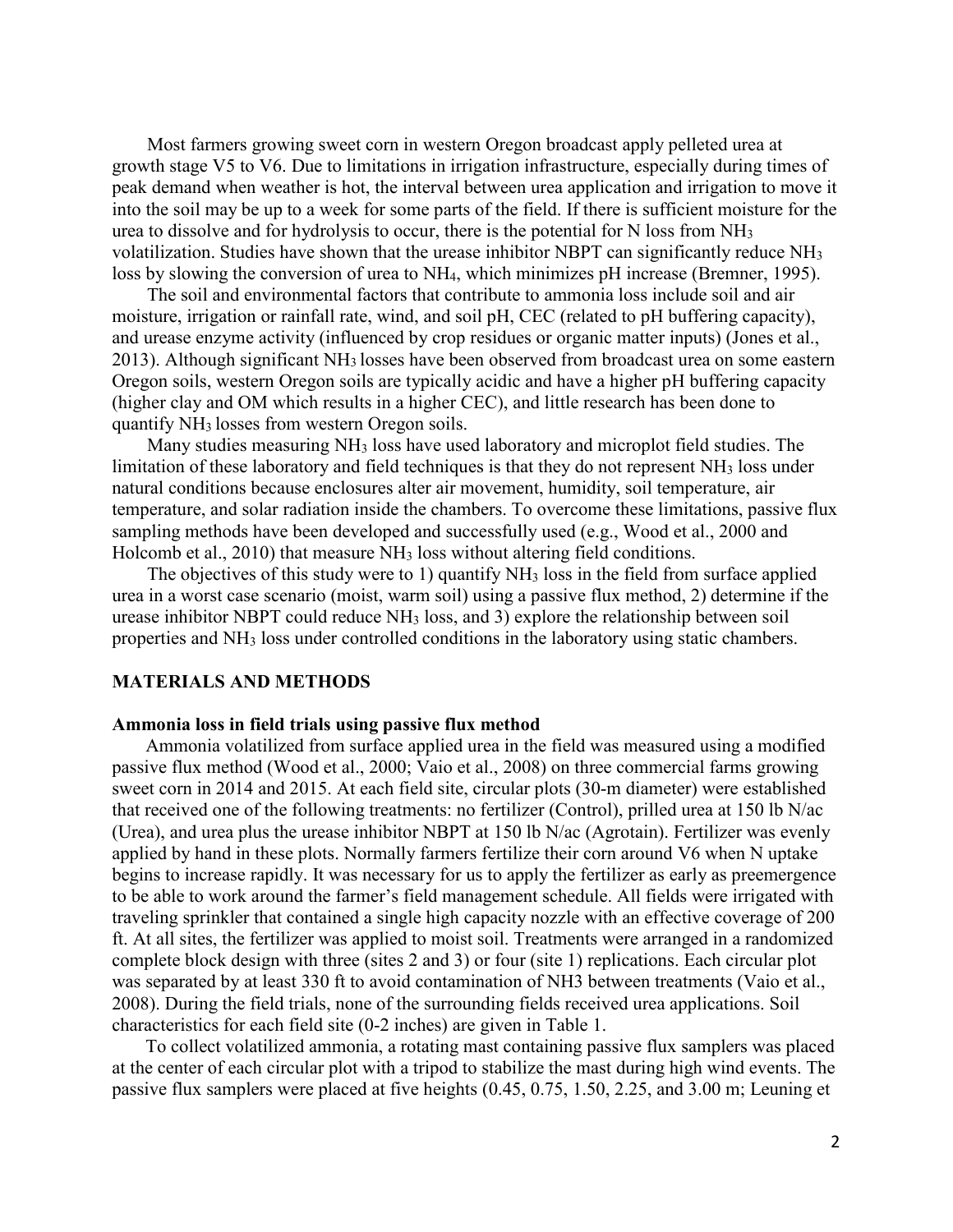Most farmers growing sweet corn in western Oregon broadcast apply pelleted urea at growth stage V5 to V6. Due to limitations in irrigation infrastructure, especially during times of peak demand when weather is hot, the interval between urea application and irrigation to move it into the soil may be up to a week for some parts of the field. If there is sufficient moisture for the urea to dissolve and for hydrolysis to occur, there is the potential for N loss from NH3 volatilization. Studies have shown that the urease inhibitor NBPT can significantly reduce NH3 loss by slowing the conversion of urea to NH<sub>4</sub>, which minimizes pH increase (Bremner, 1995).

The soil and environmental factors that contribute to ammonia loss include soil and air moisture, irrigation or rainfall rate, wind, and soil pH, CEC (related to pH buffering capacity), and urease enzyme activity (influenced by crop residues or organic matter inputs) (Jones et al., 2013). Although significant NH3 losses have been observed from broadcast urea on some eastern Oregon soils, western Oregon soils are typically acidic and have a higher pH buffering capacity (higher clay and OM which results in a higher CEC), and little research has been done to quantify NH3 losses from western Oregon soils.

Many studies measuring NH3 loss have used laboratory and microplot field studies. The limitation of these laboratory and field techniques is that they do not represent NH3 loss under natural conditions because enclosures alter air movement, humidity, soil temperature, air temperature, and solar radiation inside the chambers. To overcome these limitations, passive flux sampling methods have been developed and successfully used (e.g., Wood et al., 2000 and Holcomb et al., 2010) that measure NH<sub>3</sub> loss without altering field conditions.

The objectives of this study were to 1) quantify NH<sub>3</sub> loss in the field from surface applied urea in a worst case scenario (moist, warm soil) using a passive flux method, 2) determine if the urease inhibitor NBPT could reduce  $NH<sub>3</sub>$  loss, and 3) explore the relationship between soil properties and NH3 loss under controlled conditions in the laboratory using static chambers.

#### **MATERIALS AND METHODS**

#### **Ammonia loss in field trials using passive flux method**

Ammonia volatilized from surface applied urea in the field was measured using a modified passive flux method (Wood et al., 2000; Vaio et al., 2008) on three commercial farms growing sweet corn in 2014 and 2015. At each field site, circular plots (30-m diameter) were established that received one of the following treatments: no fertilizer (Control), prilled urea at 150 lb N/ac (Urea), and urea plus the urease inhibitor NBPT at 150 lb N/ac (Agrotain). Fertilizer was evenly applied by hand in these plots. Normally farmers fertilize their corn around V6 when N uptake begins to increase rapidly. It was necessary for us to apply the fertilizer as early as preemergence to be able to work around the farmer's field management schedule. All fields were irrigated with traveling sprinkler that contained a single high capacity nozzle with an effective coverage of 200 ft. At all sites, the fertilizer was applied to moist soil. Treatments were arranged in a randomized complete block design with three (sites 2 and 3) or four (site 1) replications. Each circular plot was separated by at least 330 ft to avoid contamination of NH3 between treatments (Vaio et al., 2008). During the field trials, none of the surrounding fields received urea applications. Soil characteristics for each field site (0-2 inches) are given in Table 1.

To collect volatilized ammonia, a rotating mast containing passive flux samplers was placed at the center of each circular plot with a tripod to stabilize the mast during high wind events. The passive flux samplers were placed at five heights (0.45, 0.75, 1.50, 2.25, and 3.00 m; Leuning et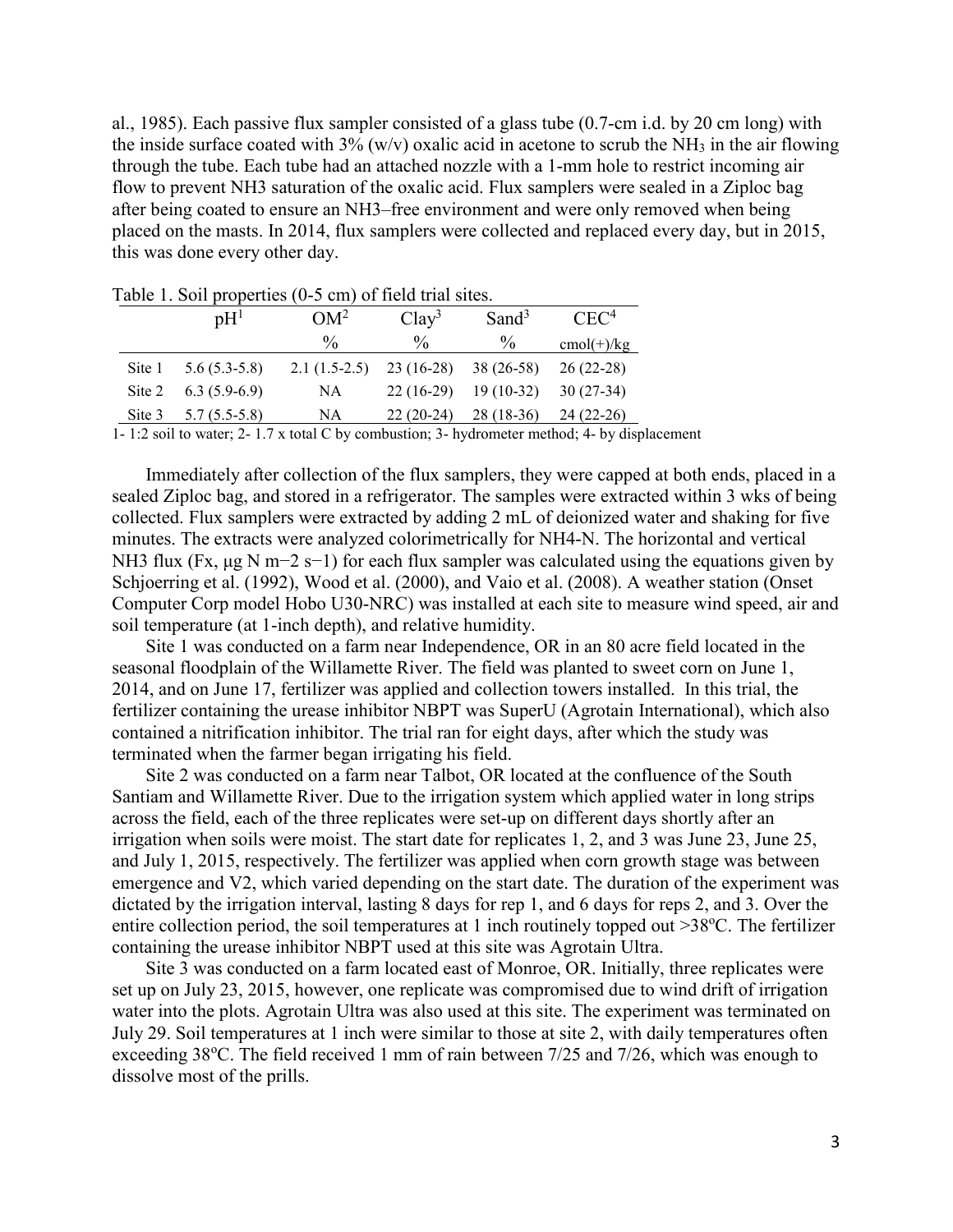al., 1985). Each passive flux sampler consisted of a glass tube (0.7-cm i.d. by 20 cm long) with the inside surface coated with  $3\%$  (w/v) oxalic acid in acetone to scrub the NH<sub>3</sub> in the air flowing through the tube. Each tube had an attached nozzle with a 1-mm hole to restrict incoming air flow to prevent NH3 saturation of the oxalic acid. Flux samplers were sealed in a Ziploc bag after being coated to ensure an NH3–free environment and were only removed when being placed on the masts. In 2014, flux samplers were collected and replaced every day, but in 2015, this was done every other day.

| .      |                             |                |                   |                   |                  |  |  |  |  |  |  |
|--------|-----------------------------|----------------|-------------------|-------------------|------------------|--|--|--|--|--|--|
|        | $\mathfrak{p} \mathrm{H}^1$ | $OM^2$         | Clav <sup>3</sup> | Sand <sup>3</sup> | CEC <sup>4</sup> |  |  |  |  |  |  |
|        |                             | $\frac{0}{0}$  | $\frac{0}{0}$     | $\%$              | $cmol(+)/kg$     |  |  |  |  |  |  |
| Site 1 | $5.6(5.3-5.8)$              | $2.1(1.5-2.5)$ | $23(16-28)$       | $38(26-58)$       | $26(22-28)$      |  |  |  |  |  |  |
| Site 2 | $6.3(5.9-6.9)$              | NA             | $22(16-29)$       | $19(10-32)$       | $30(27-34)$      |  |  |  |  |  |  |
| Site 3 | $5.7(5.5-5.8)$              | NA             | $22(20-24)$       | $28(18-36)$       | $24(22-26)$      |  |  |  |  |  |  |

Table 1. Soil properties (0-5 cm) of field trial sites.

1- 1:2 soil to water; 2- 1.7 x total C by combustion; 3- hydrometer method; 4- by displacement

Immediately after collection of the flux samplers, they were capped at both ends, placed in a sealed Ziploc bag, and stored in a refrigerator. The samples were extracted within 3 wks of being collected. Flux samplers were extracted by adding 2 mL of deionized water and shaking for five minutes. The extracts were analyzed colorimetrically for NH4-N. The horizontal and vertical NH3 flux (Fx, μg N m−2 s−1) for each flux sampler was calculated using the equations given by Schjoerring et al. (1992), Wood et al. (2000), and Vaio et al. (2008). A weather station (Onset Computer Corp model Hobo U30-NRC) was installed at each site to measure wind speed, air and soil temperature (at 1-inch depth), and relative humidity.

Site 1 was conducted on a farm near Independence, OR in an 80 acre field located in the seasonal floodplain of the Willamette River. The field was planted to sweet corn on June 1, 2014, and on June 17, fertilizer was applied and collection towers installed. In this trial, the fertilizer containing the urease inhibitor NBPT was SuperU (Agrotain International), which also contained a nitrification inhibitor. The trial ran for eight days, after which the study was terminated when the farmer began irrigating his field.

Site 2 was conducted on a farm near Talbot, OR located at the confluence of the South Santiam and Willamette River. Due to the irrigation system which applied water in long strips across the field, each of the three replicates were set-up on different days shortly after an irrigation when soils were moist. The start date for replicates 1, 2, and 3 was June 23, June 25, and July 1, 2015, respectively. The fertilizer was applied when corn growth stage was between emergence and V2, which varied depending on the start date. The duration of the experiment was dictated by the irrigation interval, lasting 8 days for rep 1, and 6 days for reps 2, and 3. Over the entire collection period, the soil temperatures at 1 inch routinely topped out >38°C. The fertilizer containing the urease inhibitor NBPT used at this site was Agrotain Ultra.

Site 3 was conducted on a farm located east of Monroe, OR. Initially, three replicates were set up on July 23, 2015, however, one replicate was compromised due to wind drift of irrigation water into the plots. Agrotain Ultra was also used at this site. The experiment was terminated on July 29. Soil temperatures at 1 inch were similar to those at site 2, with daily temperatures often exceeding 38°C. The field received 1 mm of rain between 7/25 and 7/26, which was enough to dissolve most of the prills.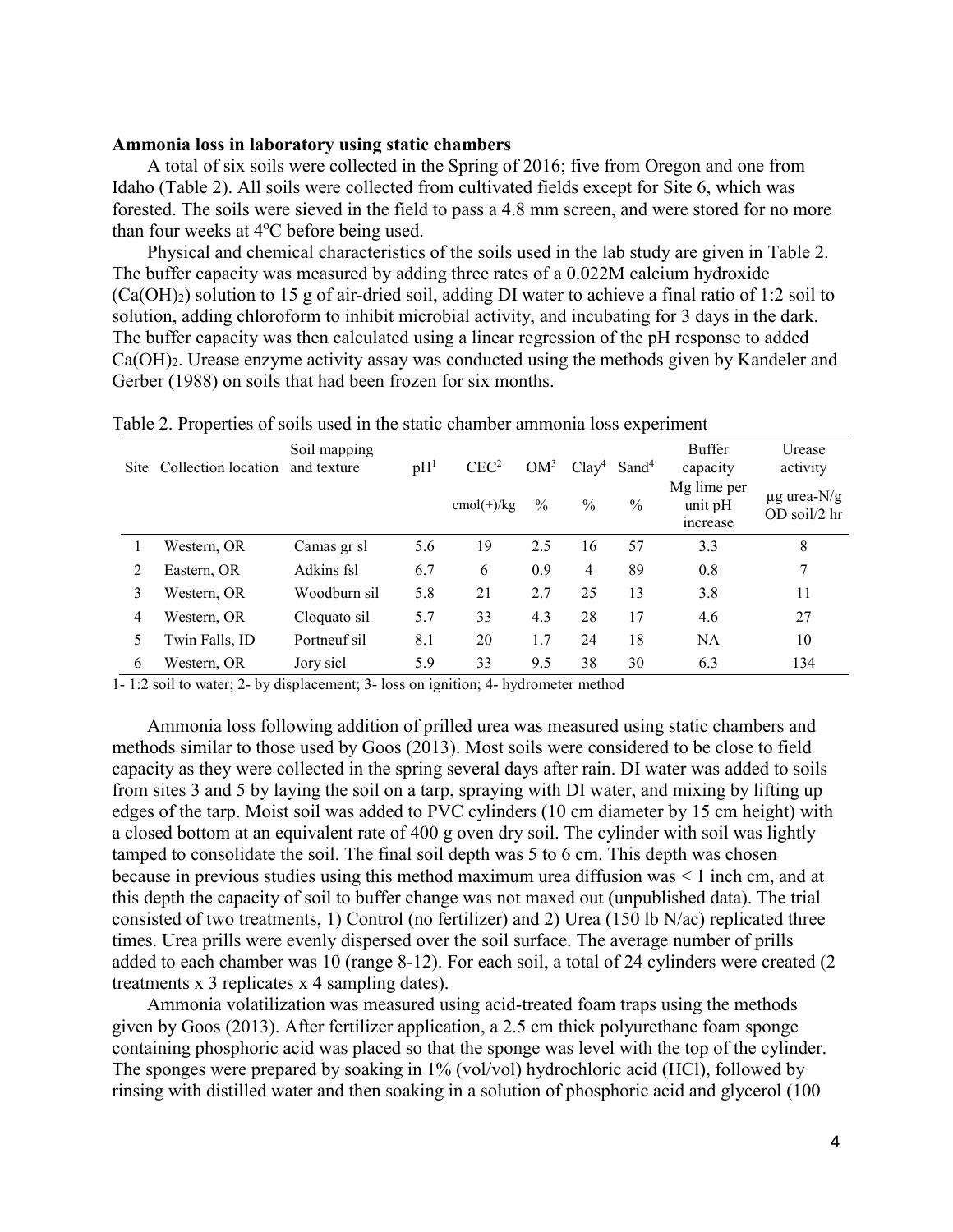#### **Ammonia loss in laboratory using static chambers**

A total of six soils were collected in the Spring of 2016; five from Oregon and one from Idaho (Table 2). All soils were collected from cultivated fields except for Site 6, which was forested. The soils were sieved in the field to pass a 4.8 mm screen, and were stored for no more than four weeks at 4°C before being used.

Physical and chemical characteristics of the soils used in the lab study are given in Table 2. The buffer capacity was measured by adding three rates of a 0.022M calcium hydroxide  $(Ca(OH<sub>2</sub>)$  solution to 15 g of air-dried soil, adding DI water to achieve a final ratio of 1:2 soil to solution, adding chloroform to inhibit microbial activity, and incubating for 3 days in the dark. The buffer capacity was then calculated using a linear regression of the pH response to added Ca(OH)2. Urease enzyme activity assay was conducted using the methods given by Kandeler and Gerber (1988) on soils that had been frozen for six months.

| Site | габіс 2. 1 горстнез от зоніз азеа ні ане заане спанносі анінноніа 1033 слібенністі<br>Collection location | Soil mapping<br>and texture | pH <sup>1</sup> | CEC <sup>2</sup> | OM <sup>3</sup> |      | $Clay4$ Sand <sup>4</sup> | <b>Buffer</b><br>capacity            | Urease<br>activity               |
|------|-----------------------------------------------------------------------------------------------------------|-----------------------------|-----------------|------------------|-----------------|------|---------------------------|--------------------------------------|----------------------------------|
|      |                                                                                                           |                             |                 | $cmol(+)/kg$     | $\%$            | $\%$ | $\frac{0}{0}$             | Mg lime per<br>unit $pH$<br>increase | $\mu$ g urea-N/g<br>OD soil/2 hr |
|      | Western, OR                                                                                               | Camas gr sl                 | 5.6             | 19               | 2.5             | 16   | 57                        | 3.3                                  | 8                                |
| 2    | Eastern. OR                                                                                               | Adkins fsl                  | 6.7             | 6                | 0.9             | 4    | 89                        | 0.8                                  | 7                                |
| 3    | Western, OR                                                                                               | Woodburn sil                | 5.8             | 21               | 2.7             | 25   | 13                        | 3.8                                  | 11                               |
| 4    | Western, OR                                                                                               | Cloquato sil                | 5.7             | 33               | 4.3             | 28   | 17                        | 4.6                                  | 27                               |
| 5.   | Twin Falls, ID                                                                                            | Portneuf sil                | 8.1             | 20               | 1.7             | 24   | 18                        | <b>NA</b>                            | 10                               |
| 6    | Western, OR                                                                                               | Jory sicl                   | 5.9             | 33               | 9.5             | 38   | 30                        | 6.3                                  | 134                              |

Table 2. Properties of soils used in the static chamber ammonia loss experiment

1- 1:2 soil to water; 2- by displacement; 3- loss on ignition; 4- hydrometer method

Ammonia loss following addition of prilled urea was measured using static chambers and methods similar to those used by Goos (2013). Most soils were considered to be close to field capacity as they were collected in the spring several days after rain. DI water was added to soils from sites 3 and 5 by laying the soil on a tarp, spraying with DI water, and mixing by lifting up edges of the tarp. Moist soil was added to PVC cylinders (10 cm diameter by 15 cm height) with a closed bottom at an equivalent rate of 400 g oven dry soil. The cylinder with soil was lightly tamped to consolidate the soil. The final soil depth was 5 to 6 cm. This depth was chosen because in previous studies using this method maximum urea diffusion was < 1 inch cm, and at this depth the capacity of soil to buffer change was not maxed out (unpublished data). The trial consisted of two treatments, 1) Control (no fertilizer) and 2) Urea (150 lb N/ac) replicated three times. Urea prills were evenly dispersed over the soil surface. The average number of prills added to each chamber was 10 (range 8-12). For each soil, a total of 24 cylinders were created (2 treatments x 3 replicates x 4 sampling dates).

Ammonia volatilization was measured using acid-treated foam traps using the methods given by Goos (2013). After fertilizer application, a 2.5 cm thick polyurethane foam sponge containing phosphoric acid was placed so that the sponge was level with the top of the cylinder. The sponges were prepared by soaking in 1% (vol/vol) hydrochloric acid (HCl), followed by rinsing with distilled water and then soaking in a solution of phosphoric acid and glycerol (100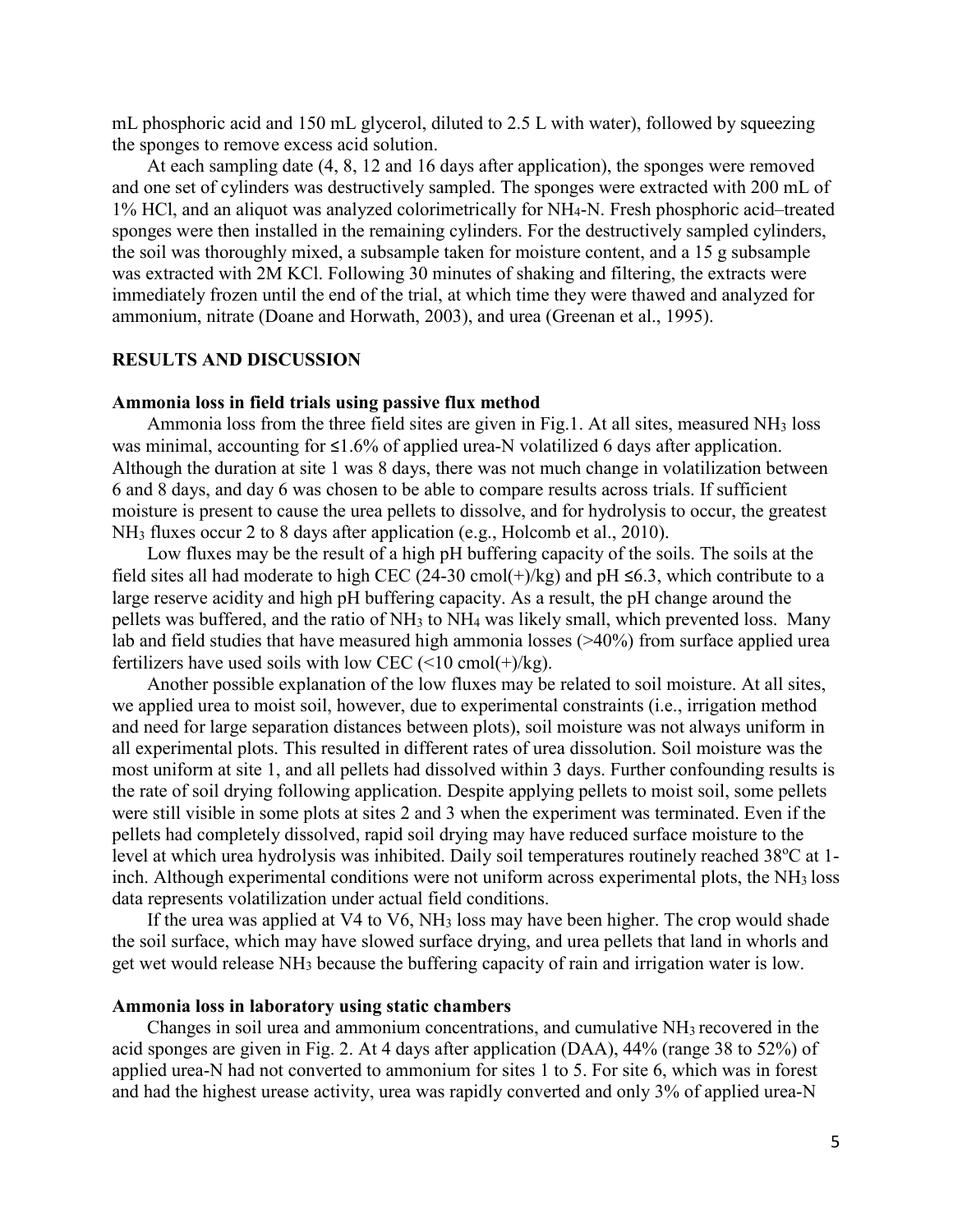mL phosphoric acid and 150 mL glycerol, diluted to 2.5 L with water), followed by squeezing the sponges to remove excess acid solution.

At each sampling date (4, 8, 12 and 16 days after application), the sponges were removed and one set of cylinders was destructively sampled. The sponges were extracted with 200 mL of 1% HCl, and an aliquot was analyzed colorimetrically for NH4-N. Fresh phosphoric acid–treated sponges were then installed in the remaining cylinders. For the destructively sampled cylinders, the soil was thoroughly mixed, a subsample taken for moisture content, and a 15 g subsample was extracted with 2M KCl. Following 30 minutes of shaking and filtering, the extracts were immediately frozen until the end of the trial, at which time they were thawed and analyzed for ammonium, nitrate (Doane and Horwath, 2003), and urea (Greenan et al., 1995).

#### **RESULTS AND DISCUSSION**

#### **Ammonia loss in field trials using passive flux method**

Ammonia loss from the three field sites are given in Fig.1. At all sites, measured NH3 loss was minimal, accounting for ≤1.6% of applied urea-N volatilized 6 days after application. Although the duration at site 1 was 8 days, there was not much change in volatilization between 6 and 8 days, and day 6 was chosen to be able to compare results across trials. If sufficient moisture is present to cause the urea pellets to dissolve, and for hydrolysis to occur, the greatest NH3 fluxes occur 2 to 8 days after application (e.g., Holcomb et al., 2010).

Low fluxes may be the result of a high pH buffering capacity of the soils. The soils at the field sites all had moderate to high CEC (24-30 cmol(+)/kg) and pH  $\leq 6.3$ , which contribute to a large reserve acidity and high pH buffering capacity. As a result, the pH change around the pellets was buffered, and the ratio of NH3 to NH4 was likely small, which prevented loss. Many lab and field studies that have measured high ammonia losses (>40%) from surface applied urea fertilizers have used soils with low CEC  $(\leq 10 \text{ cmol}(+)$ /kg).

Another possible explanation of the low fluxes may be related to soil moisture. At all sites, we applied urea to moist soil, however, due to experimental constraints (i.e., irrigation method and need for large separation distances between plots), soil moisture was not always uniform in all experimental plots. This resulted in different rates of urea dissolution. Soil moisture was the most uniform at site 1, and all pellets had dissolved within 3 days. Further confounding results is the rate of soil drying following application. Despite applying pellets to moist soil, some pellets were still visible in some plots at sites 2 and 3 when the experiment was terminated. Even if the pellets had completely dissolved, rapid soil drying may have reduced surface moisture to the level at which urea hydrolysis was inhibited. Daily soil temperatures routinely reached 38°C at 1inch. Although experimental conditions were not uniform across experimental plots, the NH<sub>3</sub> loss data represents volatilization under actual field conditions.

If the urea was applied at V4 to V6, NH<sub>3</sub> loss may have been higher. The crop would shade the soil surface, which may have slowed surface drying, and urea pellets that land in whorls and get wet would release NH3 because the buffering capacity of rain and irrigation water is low.

#### **Ammonia loss in laboratory using static chambers**

Changes in soil urea and ammonium concentrations, and cumulative NH3 recovered in the acid sponges are given in Fig. 2. At 4 days after application (DAA), 44% (range 38 to 52%) of applied urea-N had not converted to ammonium for sites 1 to 5. For site 6, which was in forest and had the highest urease activity, urea was rapidly converted and only 3% of applied urea-N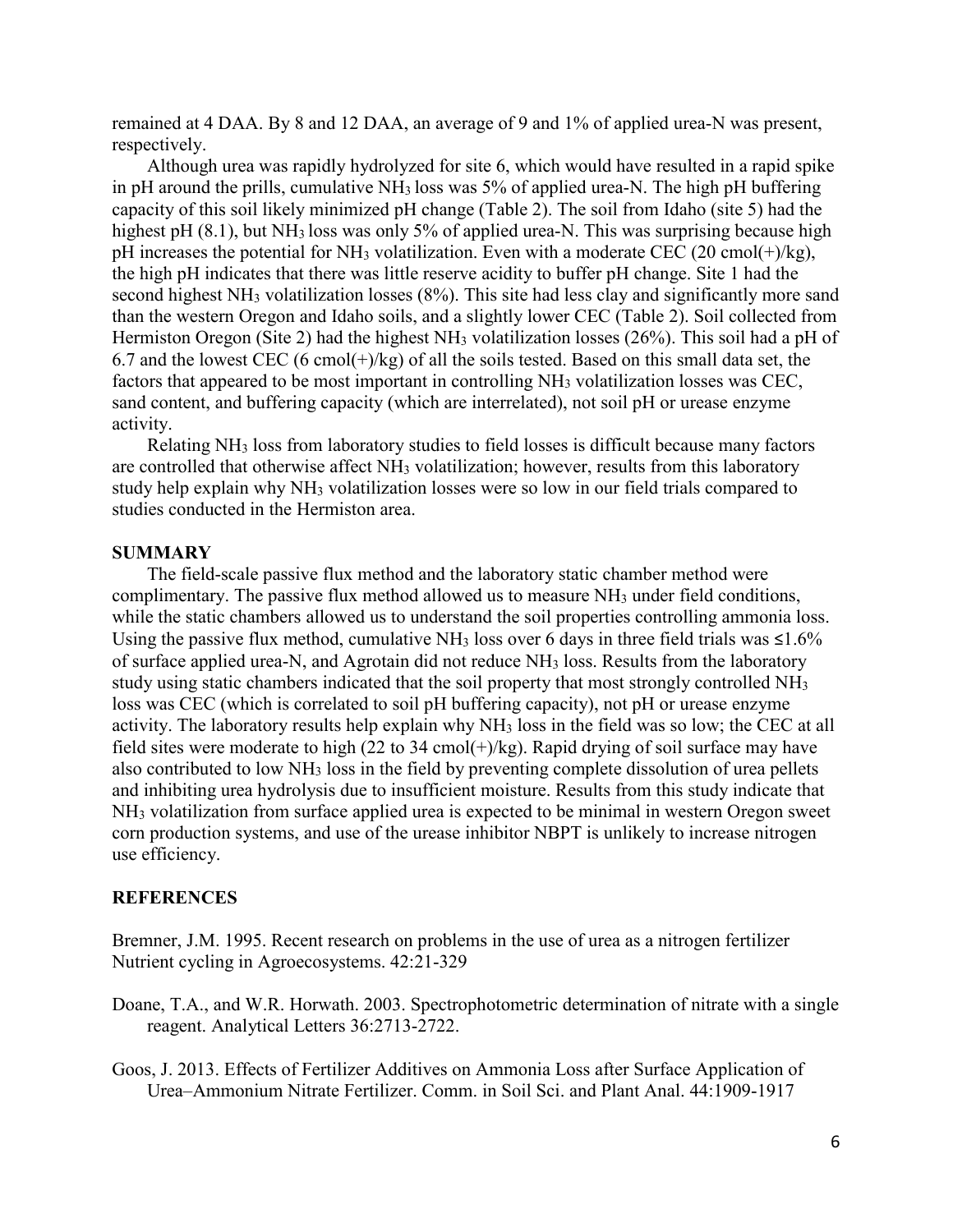remained at 4 DAA. By 8 and 12 DAA, an average of 9 and 1% of applied urea-N was present, respectively.

Although urea was rapidly hydrolyzed for site 6, which would have resulted in a rapid spike in pH around the prills, cumulative  $NH<sub>3</sub>$  loss was 5% of applied urea-N. The high pH buffering capacity of this soil likely minimized pH change (Table 2). The soil from Idaho (site 5) had the highest pH (8.1), but NH<sub>3</sub> loss was only 5% of applied urea-N. This was surprising because high pH increases the potential for NH<sub>3</sub> volatilization. Even with a moderate CEC (20 cmol(+)/kg), the high pH indicates that there was little reserve acidity to buffer pH change. Site 1 had the second highest NH3 volatilization losses (8%). This site had less clay and significantly more sand than the western Oregon and Idaho soils, and a slightly lower CEC (Table 2). Soil collected from Hermiston Oregon (Site 2) had the highest NH3 volatilization losses (26%). This soil had a pH of 6.7 and the lowest CEC (6 cmol( $+$ )/kg) of all the soils tested. Based on this small data set, the factors that appeared to be most important in controlling NH<sub>3</sub> volatilization losses was CEC, sand content, and buffering capacity (which are interrelated), not soil pH or urease enzyme activity.

Relating NH3 loss from laboratory studies to field losses is difficult because many factors are controlled that otherwise affect NH<sub>3</sub> volatilization; however, results from this laboratory study help explain why NH3 volatilization losses were so low in our field trials compared to studies conducted in the Hermiston area.

#### **SUMMARY**

The field-scale passive flux method and the laboratory static chamber method were complimentary. The passive flux method allowed us to measure  $NH<sub>3</sub>$  under field conditions, while the static chambers allowed us to understand the soil properties controlling ammonia loss. Using the passive flux method, cumulative NH<sub>3</sub> loss over 6 days in three field trials was  $\leq 1.6\%$ of surface applied urea-N, and Agrotain did not reduce NH3 loss. Results from the laboratory study using static chambers indicated that the soil property that most strongly controlled NH3 loss was CEC (which is correlated to soil pH buffering capacity), not pH or urease enzyme activity. The laboratory results help explain why NH3 loss in the field was so low; the CEC at all field sites were moderate to high  $(22 \text{ to } 34 \text{ cmol}(+)$ /kg). Rapid drying of soil surface may have also contributed to low NH3 loss in the field by preventing complete dissolution of urea pellets and inhibiting urea hydrolysis due to insufficient moisture. Results from this study indicate that NH3 volatilization from surface applied urea is expected to be minimal in western Oregon sweet corn production systems, and use of the urease inhibitor NBPT is unlikely to increase nitrogen use efficiency.

### **REFERENCES**

Bremner, J.M. 1995. Recent research on problems in the use of urea as a nitrogen fertilizer Nutrient cycling in Agroecosystems. 42:21-329

- Doane, T.A., and W.R. Horwath. 2003. Spectrophotometric determination of nitrate with a single reagent. Analytical Letters 36:2713-2722.
- Goos, J. 2013. Effects of Fertilizer Additives on Ammonia Loss after Surface Application of Urea–Ammonium Nitrate Fertilizer. Comm. in Soil Sci. and Plant Anal. 44:1909-1917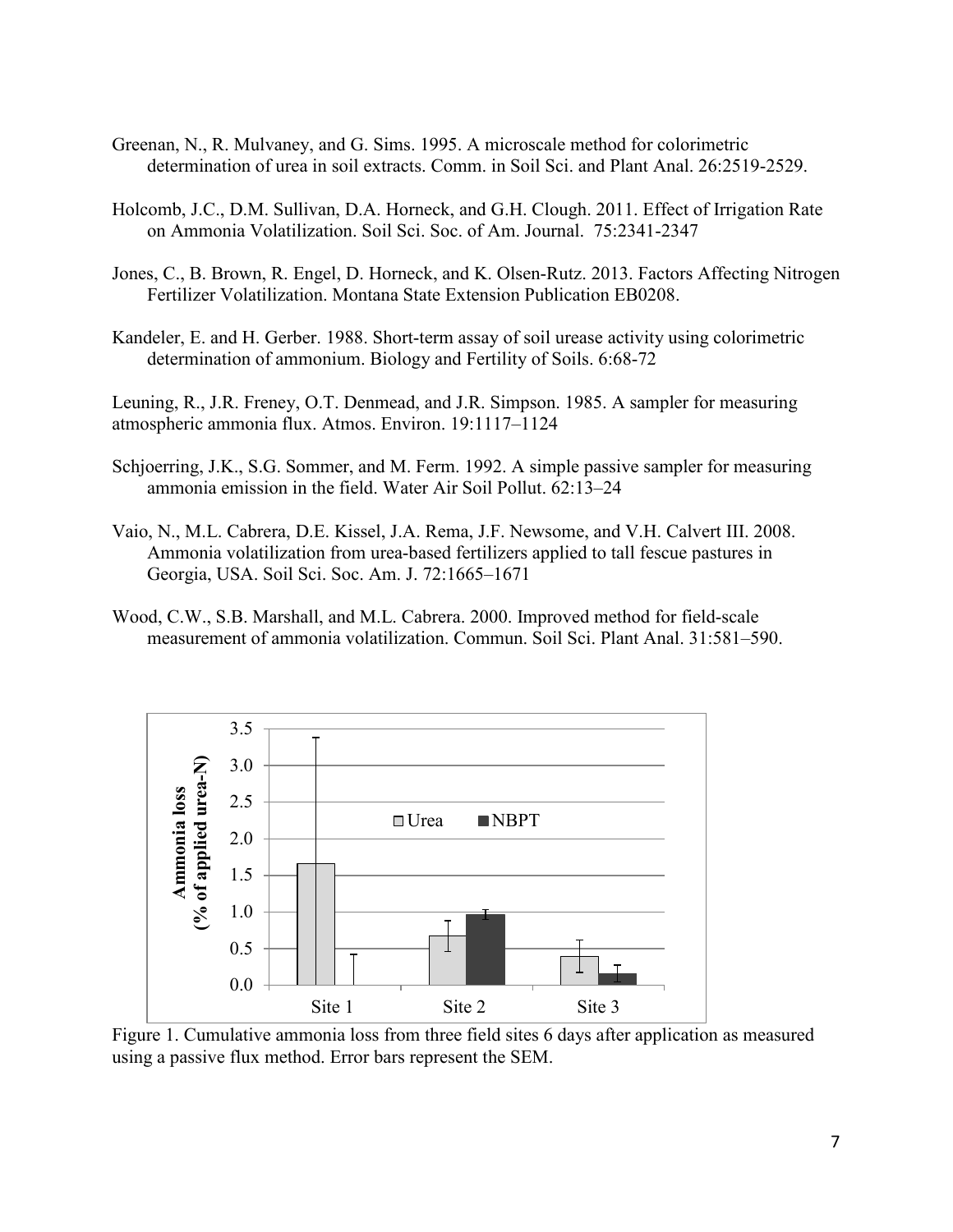- Greenan, N., R. Mulvaney, and G. Sims. 1995. A microscale method for colorimetric determination of urea in soil extracts. Comm. in Soil Sci. and Plant Anal. 26:2519-2529.
- Holcomb, J.C., D.M. Sullivan, D.A. Horneck, and G.H. Clough. 2011. Effect of Irrigation Rate on Ammonia Volatilization. Soil Sci. Soc. of Am. Journal. 75:2341-2347
- Jones, C., B. Brown, R. Engel, D. Horneck, and K. Olsen-Rutz. 2013. Factors Affecting Nitrogen Fertilizer Volatilization. Montana State Extension Publication EB0208.
- Kandeler, E. and H. Gerber. 1988. Short-term assay of soil urease activity using colorimetric determination of ammonium. Biology and Fertility of Soils. 6:68-72

Leuning, R., J.R. Freney, O.T. Denmead, and J.R. Simpson. 1985. A sampler for measuring atmospheric ammonia flux. Atmos. Environ. 19:1117–1124

- Schjoerring, J.K., S.G. Sommer, and M. Ferm. 1992. A simple passive sampler for measuring ammonia emission in the field. Water Air Soil Pollut. 62:13–24
- Vaio, N., M.L. Cabrera, D.E. Kissel, J.A. Rema, J.F. Newsome, and V.H. Calvert III. 2008. Ammonia volatilization from urea-based fertilizers applied to tall fescue pastures in Georgia, USA. Soil Sci. Soc. Am. J. 72:1665–1671
- Wood, C.W., S.B. Marshall, and M.L. Cabrera. 2000. Improved method for field-scale measurement of ammonia volatilization. Commun. Soil Sci. Plant Anal. 31:581–590.



Figure 1. Cumulative ammonia loss from three field sites 6 days after application as measured using a passive flux method. Error bars represent the SEM.